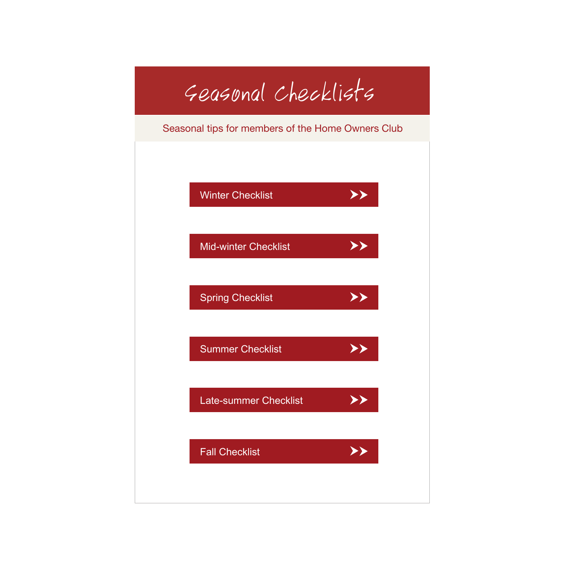## Seasonal Checklists

Seasonal tips for members of the Home Owners Club

<span id="page-0-0"></span>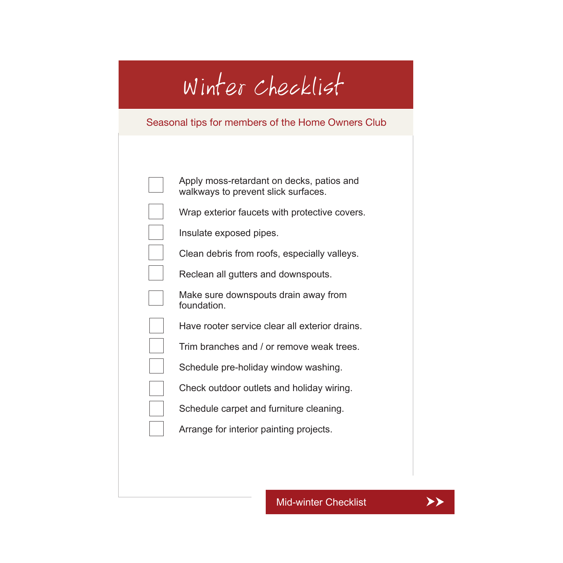# Winter Checklist

### <span id="page-1-0"></span>Seasonal tips for members of the Home Owners Club

| Apply moss-retardant on decks, patios and<br>walkways to prevent slick surfaces. |
|----------------------------------------------------------------------------------|
| Wrap exterior faucets with protective covers.                                    |
| Insulate exposed pipes.                                                          |
| Clean debris from roofs, especially valleys.                                     |
| Reclean all gutters and downspouts.                                              |
| Make sure downspouts drain away from<br>foundation.                              |
| Have rooter service clear all exterior drains.                                   |
| Trim branches and / or remove weak trees.                                        |
| Schedule pre-holiday window washing.                                             |
| Check outdoor outlets and holiday wiring.                                        |
| Schedule carpet and furniture cleaning.                                          |
| Arrange for interior painting projects.                                          |
|                                                                                  |

[Mid-winter Checklist](#page-2-0) **AXA** 

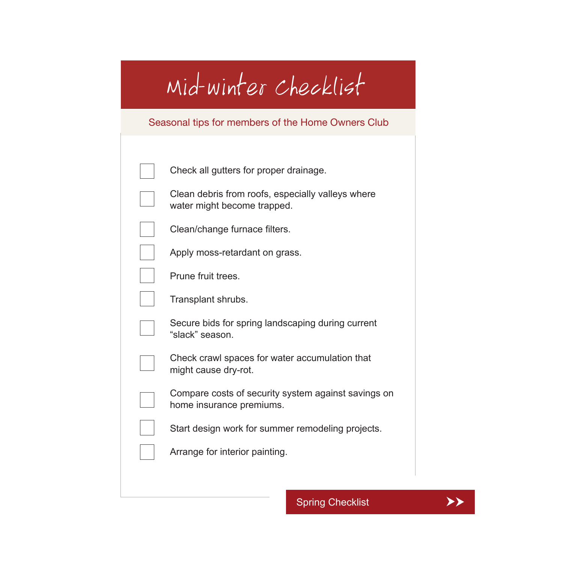# <span id="page-2-0"></span>Mid-winter Checklist

### Seasonal tips for members of the Home Owners Club

| Check all gutters for proper drainage.                                           |
|----------------------------------------------------------------------------------|
| Clean debris from roofs, especially valleys where<br>water might become trapped. |
| Clean/change furnace filters.                                                    |
| Apply moss-retardant on grass.                                                   |
| Prune fruit trees.                                                               |
| Transplant shrubs.                                                               |
| Secure bids for spring landscaping during current<br>"slack" season.             |
| Check crawl spaces for water accumulation that<br>might cause dry-rot.           |
| Compare costs of security system against savings on<br>home insurance premiums.  |
| Start design work for summer remodeling projects.                                |
| Arrange for interior painting.                                                   |
|                                                                                  |

[Spring Checklist](#page-3-0) **→** 

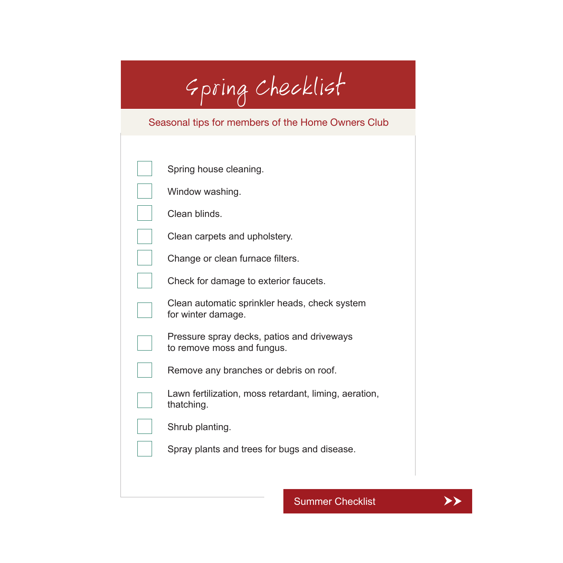# Spring Checklist

### <span id="page-3-0"></span>Seasonal tips for members of the Home Owners Club

| Spring house cleaning.                                                   |
|--------------------------------------------------------------------------|
| Window washing.                                                          |
| Clean blinds.                                                            |
| Clean carpets and upholstery.                                            |
| Change or clean furnace filters.                                         |
| Check for damage to exterior faucets.                                    |
| Clean automatic sprinkler heads, check system<br>for winter damage.      |
| Pressure spray decks, patios and driveways<br>to remove moss and fungus. |
| Remove any branches or debris on roof.                                   |
| Lawn fertilization, moss retardant, liming, aeration,<br>thatching.      |
| Shrub planting.                                                          |
| Spray plants and trees for bugs and disease.                             |
|                                                                          |

[Summer Checklist](#page-4-0) **AX** 

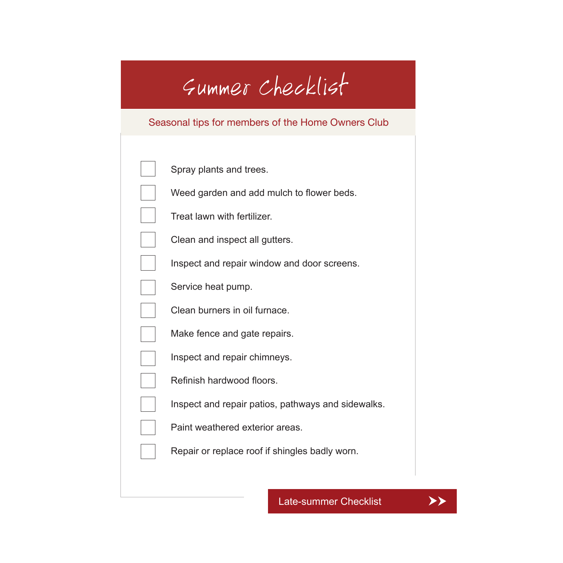### Summer Checklist

#### <span id="page-4-0"></span>Seasonal tips for members of the Home Owners Club

| Spray plants and trees.                     |
|---------------------------------------------|
| Weed garden and add mulch to flower beds.   |
| Treat lawn with fertilizer.                 |
| Clean and inspect all gutters.              |
| Inspect and repair window and door screens. |

Service heat pump.

Clean burners in oil furnace.

Make fence and gate repairs.

Inspect and repair chimneys.

Refinish hardwood floors.

Inspect and repair patios, pathways and sidewalks.

Paint weathered exterior areas.

Repair or replace roof if shingles badly worn.

[Late-summer Checklist](#page-5-0)  $\rightarrow \rightarrow \rightarrow$ 

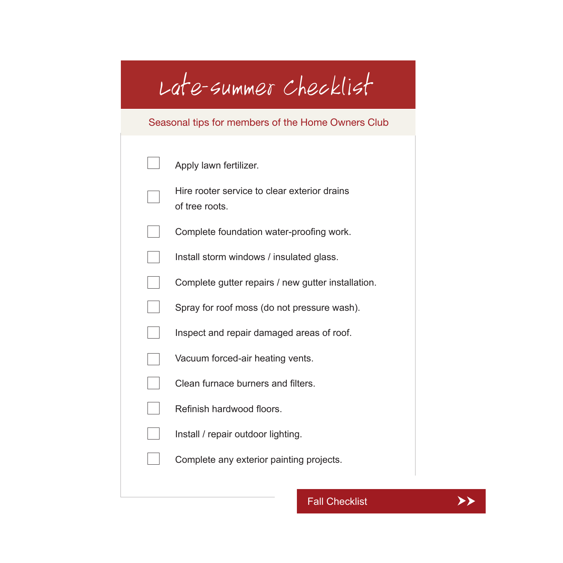# <span id="page-5-0"></span>Late-summer Checklist

### Seasonal tips for members of the Home Owners Club

|  | Apply lawn fertilizer.                                         |
|--|----------------------------------------------------------------|
|  | Hire rooter service to clear exterior drains<br>of tree roots. |
|  | Complete foundation water-proofing work.                       |
|  | Install storm windows / insulated glass.                       |
|  | Complete gutter repairs / new gutter installation.             |
|  | Spray for roof moss (do not pressure wash).                    |
|  | Inspect and repair damaged areas of roof.                      |
|  | Vacuum forced-air heating vents.                               |
|  | Clean furnace burners and filters.                             |
|  | Refinish hardwood floors.                                      |
|  | Install / repair outdoor lighting.                             |
|  | Complete any exterior painting projects.                       |